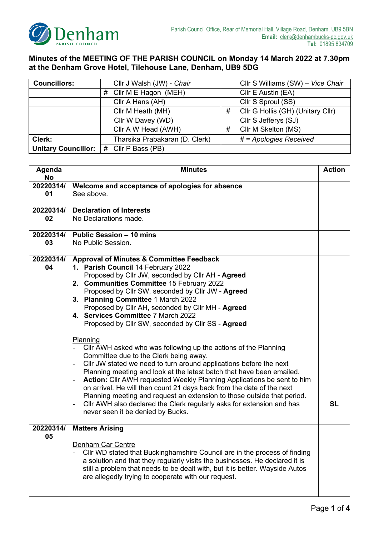

## **Minutes of the MEETING OF THE PARISH COUNCIL on Monday 14 March 2022 at 7.30pm at the Denham Grove Hotel, Tilehouse Lane, Denham, UB9 5DG**

| <b>Councillors:</b>        | Cllr J Walsh (JW) - Chair      |   | Cllr S Williams (SW) - Vice Chair |
|----------------------------|--------------------------------|---|-----------------------------------|
|                            | Cllr M E Hagon (MEH)<br>#      |   | Cllr E Austin (EA)                |
|                            | Cllr A Hans (AH)               |   | Cllr S Sproul (SS)                |
|                            | Cllr M Heath (MH)              | # | Cllr G Hollis (GH) (Unitary Cllr) |
|                            | Cllr W Davey (WD)              |   | Cllr S Jefferys (SJ)              |
|                            | Cllr A W Head (AWH)            | # | Cllr M Skelton (MS)               |
| Clerk:                     | Tharsika Prabakaran (D. Clerk) |   | # = Apologies Received            |
| <b>Unitary Councillor:</b> | # Cllr P Bass (PB)             |   |                                   |

| Agenda<br><b>No</b> | <b>Minutes</b>                                                                                                                                                                                                                                                                                                                                                                                                                                                                                                                                                                                                                                                                                                                                                                                                                                                                                                                                                                                                                                                                                 |    |  |  |  |
|---------------------|------------------------------------------------------------------------------------------------------------------------------------------------------------------------------------------------------------------------------------------------------------------------------------------------------------------------------------------------------------------------------------------------------------------------------------------------------------------------------------------------------------------------------------------------------------------------------------------------------------------------------------------------------------------------------------------------------------------------------------------------------------------------------------------------------------------------------------------------------------------------------------------------------------------------------------------------------------------------------------------------------------------------------------------------------------------------------------------------|----|--|--|--|
| 20220314/<br>01     | Welcome and acceptance of apologies for absence<br>See above.                                                                                                                                                                                                                                                                                                                                                                                                                                                                                                                                                                                                                                                                                                                                                                                                                                                                                                                                                                                                                                  |    |  |  |  |
| 20220314/<br>02     | <b>Declaration of Interests</b><br>No Declarations made.                                                                                                                                                                                                                                                                                                                                                                                                                                                                                                                                                                                                                                                                                                                                                                                                                                                                                                                                                                                                                                       |    |  |  |  |
| 20220314/<br>03     | <b>Public Session - 10 mins</b><br>No Public Session.                                                                                                                                                                                                                                                                                                                                                                                                                                                                                                                                                                                                                                                                                                                                                                                                                                                                                                                                                                                                                                          |    |  |  |  |
| 20220314/<br>04     | <b>Approval of Minutes &amp; Committee Feedback</b><br>1. Parish Council 14 February 2022<br>Proposed by Cllr JW, seconded by Cllr AH - Agreed<br>2. Communities Committee 15 February 2022<br>Proposed by Cllr SW, seconded by Cllr JW - Agreed<br>3. Planning Committee 1 March 2022<br>Proposed by Cllr AH, seconded by Cllr MH - Agreed<br>4. Services Committee 7 March 2022<br>Proposed by Cllr SW, seconded by Cllr SS - Agreed<br>Planning<br>Cllr AWH asked who was following up the actions of the Planning<br>Committee due to the Clerk being away.<br>Cllr JW stated we need to turn around applications before the next<br>$\blacksquare$<br>Planning meeting and look at the latest batch that have been emailed.<br>Action: Cllr AWH requested Weekly Planning Applications be sent to him<br>on arrival. He will then count 21 days back from the date of the next<br>Planning meeting and request an extension to those outside that period.<br>Cllr AWH also declared the Clerk regularly asks for extension and has<br>$\blacksquare$<br>never seen it be denied by Bucks. | SL |  |  |  |
| 20220314/<br>05     | <b>Matters Arising</b><br>Denham Car Centre<br>Cllr WD stated that Buckinghamshire Council are in the process of finding<br>a solution and that they regularly visits the businesses. He declared it is<br>still a problem that needs to be dealt with, but it is better. Wayside Autos<br>are allegedly trying to cooperate with our request.                                                                                                                                                                                                                                                                                                                                                                                                                                                                                                                                                                                                                                                                                                                                                 |    |  |  |  |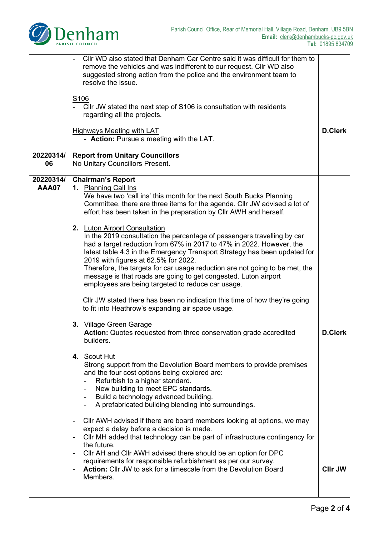

|                           | CIIr WD also stated that Denham Car Centre said it was difficult for them to<br>remove the vehicles and was indifferent to our request. Cllr WD also<br>suggested strong action from the police and the environment team to<br>resolve the issue.                                                                                                                                                                                                                                                                                                                                                                                                                                                                                                                                                                                                                                                                                                                                                                                                                                                                                                                                                                                                                                                                                                                                                                                                                                                                                                                                                                                                                                                                                                                                                                                                  |                                  |  |  |
|---------------------------|----------------------------------------------------------------------------------------------------------------------------------------------------------------------------------------------------------------------------------------------------------------------------------------------------------------------------------------------------------------------------------------------------------------------------------------------------------------------------------------------------------------------------------------------------------------------------------------------------------------------------------------------------------------------------------------------------------------------------------------------------------------------------------------------------------------------------------------------------------------------------------------------------------------------------------------------------------------------------------------------------------------------------------------------------------------------------------------------------------------------------------------------------------------------------------------------------------------------------------------------------------------------------------------------------------------------------------------------------------------------------------------------------------------------------------------------------------------------------------------------------------------------------------------------------------------------------------------------------------------------------------------------------------------------------------------------------------------------------------------------------------------------------------------------------------------------------------------------------|----------------------------------|--|--|
|                           | S <sub>106</sub><br>Cllr JW stated the next step of S106 is consultation with residents<br>regarding all the projects.                                                                                                                                                                                                                                                                                                                                                                                                                                                                                                                                                                                                                                                                                                                                                                                                                                                                                                                                                                                                                                                                                                                                                                                                                                                                                                                                                                                                                                                                                                                                                                                                                                                                                                                             |                                  |  |  |
|                           | <b>Highways Meeting with LAT</b><br>- Action: Pursue a meeting with the LAT.                                                                                                                                                                                                                                                                                                                                                                                                                                                                                                                                                                                                                                                                                                                                                                                                                                                                                                                                                                                                                                                                                                                                                                                                                                                                                                                                                                                                                                                                                                                                                                                                                                                                                                                                                                       |                                  |  |  |
| 20220314/<br>06           | <b>Report from Unitary Councillors</b><br>No Unitary Councillors Present.                                                                                                                                                                                                                                                                                                                                                                                                                                                                                                                                                                                                                                                                                                                                                                                                                                                                                                                                                                                                                                                                                                                                                                                                                                                                                                                                                                                                                                                                                                                                                                                                                                                                                                                                                                          |                                  |  |  |
| 20220314/<br><b>AAA07</b> | <b>Chairman's Report</b><br>1. Planning Call Ins<br>We have two 'call ins' this month for the next South Bucks Planning<br>Committee, there are three items for the agenda. Cllr JW advised a lot of<br>effort has been taken in the preparation by Cllr AWH and herself.<br>2. Luton Airport Consultation<br>In the 2019 consultation the percentage of passengers travelling by car<br>had a target reduction from 67% in 2017 to 47% in 2022. However, the<br>latest table 4.3 in the Emergency Transport Strategy has been updated for<br>2019 with figures at 62.5% for 2022.<br>Therefore, the targets for car usage reduction are not going to be met, the<br>message is that roads are going to get congested. Luton airport<br>employees are being targeted to reduce car usage.<br>CIIr JW stated there has been no indication this time of how they're going<br>to fit into Heathrow's expanding air space usage.<br><b>Village Green Garage</b><br>3.<br>Action: Quotes requested from three conservation grade accredited<br>builders.<br>4. Scout Hut<br>Strong support from the Devolution Board members to provide premises<br>and the four cost options being explored are:<br>Refurbish to a higher standard.<br>New building to meet EPC standards.<br>Build a technology advanced building.<br>A prefabricated building blending into surroundings.<br>CIIr AWH advised if there are board members looking at options, we may<br>expect a delay before a decision is made.<br>CIIr MH added that technology can be part of infrastructure contingency for<br>the future.<br>Cllr AH and Cllr AWH advised there should be an option for DPC<br>requirements for responsible refurbishment as per our survey.<br><b>Action:</b> Cllr JW to ask for a timescale from the Devolution Board<br>$\overline{\phantom{0}}$<br>Members. | <b>D.Clerk</b><br><b>CIIr JW</b> |  |  |
|                           |                                                                                                                                                                                                                                                                                                                                                                                                                                                                                                                                                                                                                                                                                                                                                                                                                                                                                                                                                                                                                                                                                                                                                                                                                                                                                                                                                                                                                                                                                                                                                                                                                                                                                                                                                                                                                                                    |                                  |  |  |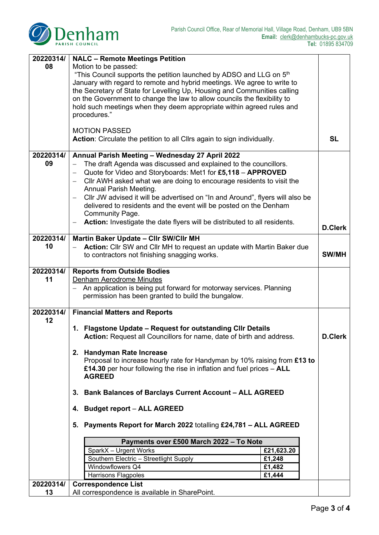

| 08<br>Motion to be passed:<br>"This Council supports the petition launched by ADSO and LLG on 5 <sup>th</sup><br>January with regard to remote and hybrid meetings. We agree to write to<br>the Secretary of State for Levelling Up, Housing and Communities calling<br>on the Government to change the law to allow councils the flexibility to<br>hold such meetings when they deem appropriate within agreed rules and<br>procedures."<br><b>MOTION PASSED</b><br>Action: Circulate the petition to all Cllrs again to sign individually.<br><b>SL</b> |
|-----------------------------------------------------------------------------------------------------------------------------------------------------------------------------------------------------------------------------------------------------------------------------------------------------------------------------------------------------------------------------------------------------------------------------------------------------------------------------------------------------------------------------------------------------------|
|                                                                                                                                                                                                                                                                                                                                                                                                                                                                                                                                                           |
|                                                                                                                                                                                                                                                                                                                                                                                                                                                                                                                                                           |
|                                                                                                                                                                                                                                                                                                                                                                                                                                                                                                                                                           |
|                                                                                                                                                                                                                                                                                                                                                                                                                                                                                                                                                           |
|                                                                                                                                                                                                                                                                                                                                                                                                                                                                                                                                                           |
|                                                                                                                                                                                                                                                                                                                                                                                                                                                                                                                                                           |
|                                                                                                                                                                                                                                                                                                                                                                                                                                                                                                                                                           |
|                                                                                                                                                                                                                                                                                                                                                                                                                                                                                                                                                           |
|                                                                                                                                                                                                                                                                                                                                                                                                                                                                                                                                                           |
|                                                                                                                                                                                                                                                                                                                                                                                                                                                                                                                                                           |
| 20220314/<br>Annual Parish Meeting - Wednesday 27 April 2022                                                                                                                                                                                                                                                                                                                                                                                                                                                                                              |
| 09<br>The draft Agenda was discussed and explained to the councillors.                                                                                                                                                                                                                                                                                                                                                                                                                                                                                    |
| Quote for Video and Storyboards: Met1 for £5,118 - APPROVED                                                                                                                                                                                                                                                                                                                                                                                                                                                                                               |
| CIIr AWH asked what we are doing to encourage residents to visit the<br>Annual Parish Meeting.                                                                                                                                                                                                                                                                                                                                                                                                                                                            |
| Cllr JW advised it will be advertised on "In and Around", flyers will also be                                                                                                                                                                                                                                                                                                                                                                                                                                                                             |
| delivered to residents and the event will be posted on the Denham                                                                                                                                                                                                                                                                                                                                                                                                                                                                                         |
| Community Page.                                                                                                                                                                                                                                                                                                                                                                                                                                                                                                                                           |
| Action: Investigate the date flyers will be distributed to all residents.<br>$\qquad \qquad -$                                                                                                                                                                                                                                                                                                                                                                                                                                                            |
| <b>D.Clerk</b>                                                                                                                                                                                                                                                                                                                                                                                                                                                                                                                                            |
| 20220314/<br>Martin Baker Update - Cllr SW/Cllr MH                                                                                                                                                                                                                                                                                                                                                                                                                                                                                                        |
| 10<br>Action: Cllr SW and Cllr MH to request an update with Martin Baker due                                                                                                                                                                                                                                                                                                                                                                                                                                                                              |
| <b>SW/MH</b><br>to contractors not finishing snagging works.                                                                                                                                                                                                                                                                                                                                                                                                                                                                                              |
| 20220314/<br><b>Reports from Outside Bodies</b>                                                                                                                                                                                                                                                                                                                                                                                                                                                                                                           |
| 11<br><b>Denham Aerodrome Minutes</b>                                                                                                                                                                                                                                                                                                                                                                                                                                                                                                                     |
| An application is being put forward for motorway services. Planning<br>$\equiv$                                                                                                                                                                                                                                                                                                                                                                                                                                                                           |
| permission has been granted to build the bungalow.                                                                                                                                                                                                                                                                                                                                                                                                                                                                                                        |
|                                                                                                                                                                                                                                                                                                                                                                                                                                                                                                                                                           |
| 20220314/<br><b>Financial Matters and Reports</b><br>12                                                                                                                                                                                                                                                                                                                                                                                                                                                                                                   |
| 1. Flagstone Update - Request for outstanding CIIr Details                                                                                                                                                                                                                                                                                                                                                                                                                                                                                                |
| Action: Request all Councillors for name, date of birth and address<br><b>D.Clerk</b>                                                                                                                                                                                                                                                                                                                                                                                                                                                                     |
|                                                                                                                                                                                                                                                                                                                                                                                                                                                                                                                                                           |
| 2. Handyman Rate Increase                                                                                                                                                                                                                                                                                                                                                                                                                                                                                                                                 |
| Proposal to increase hourly rate for Handyman by 10% raising from £13 to                                                                                                                                                                                                                                                                                                                                                                                                                                                                                  |
| £14.30 per hour following the rise in inflation and fuel prices $-$ ALL                                                                                                                                                                                                                                                                                                                                                                                                                                                                                   |
| <b>AGREED</b>                                                                                                                                                                                                                                                                                                                                                                                                                                                                                                                                             |
| 3. Bank Balances of Barclays Current Account - ALL AGREED                                                                                                                                                                                                                                                                                                                                                                                                                                                                                                 |
| 4. Budget report - ALL AGREED                                                                                                                                                                                                                                                                                                                                                                                                                                                                                                                             |
| 5. Payments Report for March 2022 totalling £24,781 - ALL AGREED                                                                                                                                                                                                                                                                                                                                                                                                                                                                                          |
|                                                                                                                                                                                                                                                                                                                                                                                                                                                                                                                                                           |
| Payments over £500 March 2022 - To Note                                                                                                                                                                                                                                                                                                                                                                                                                                                                                                                   |
| SparkX - Urgent Works<br>£21,623.20                                                                                                                                                                                                                                                                                                                                                                                                                                                                                                                       |
| Southern Electric - Streetlight Supply<br>£1,248                                                                                                                                                                                                                                                                                                                                                                                                                                                                                                          |
| Windowflowers Q4<br>£1,482                                                                                                                                                                                                                                                                                                                                                                                                                                                                                                                                |
| Harrisons Flagpoles<br>£1,444<br>20220314/                                                                                                                                                                                                                                                                                                                                                                                                                                                                                                                |
| <b>Correspondence List</b><br>All correspondence is available in SharePoint.<br>13                                                                                                                                                                                                                                                                                                                                                                                                                                                                        |